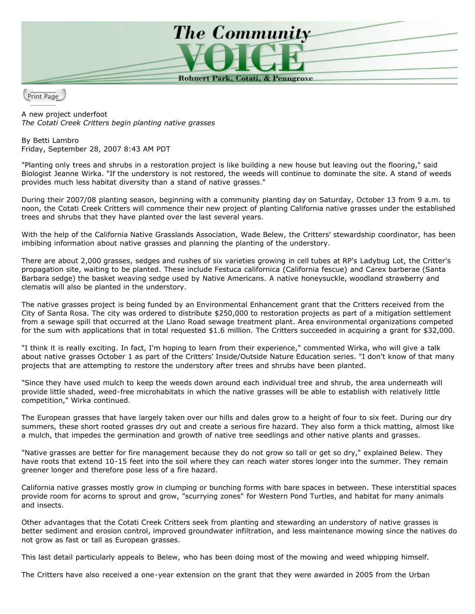

Print Page

A new project underfoot *The Cotati Creek Critters begin planting native grasses*

By Betti Lambro Friday, September 28, 2007 8:43 AM PDT

"Planting only trees and shrubs in a restoration project is like building a new house but leaving out the flooring," said Biologist Jeanne Wirka. "If the understory is not restored, the weeds will continue to dominate the site. A stand of weeds provides much less habitat diversity than a stand of native grasses."

During their 2007/08 planting season, beginning with a community planting day on Saturday, October 13 from 9 a.m. to noon, the Cotati Creek Critters will commence their new project of planting California native grasses under the established trees and shrubs that they have planted over the last several years.

With the help of the California Native Grasslands Association, Wade Belew, the Critters' stewardship coordinator, has been imbibing information about native grasses and planning the planting of the understory.

There are about 2,000 grasses, sedges and rushes of six varieties growing in cell tubes at RP's Ladybug Lot, the Critter's propagation site, waiting to be planted. These include Festuca californica (California fescue) and Carex barberae (Santa Barbara sedge) the basket weaving sedge used by Native Americans. A native honeysuckle, woodland strawberry and clematis will also be planted in the understory.

The native grasses project is being funded by an Environmental Enhancement grant that the Critters received from the City of Santa Rosa. The city was ordered to distribute \$250,000 to restoration projects as part of a mitigation settlement from a sewage spill that occurred at the Llano Road sewage treatment plant. Area environmental organizations competed for the sum with applications that in total requested \$1.6 million. The Critters succeeded in acquiring a grant for \$32,000.

"I think it is really exciting. In fact, I'm hoping to learn from their experience," commented Wirka, who will give a talk about native grasses October 1 as part of the Critters' Inside/Outside Nature Education series. "I don't know of that many projects that are attempting to restore the understory after trees and shrubs have been planted.

"Since they have used mulch to keep the weeds down around each individual tree and shrub, the area underneath will provide little shaded, weed-free microhabitats in which the native grasses will be able to establish with relatively little competition," Wirka continued.

The European grasses that have largely taken over our hills and dales grow to a height of four to six feet. During our dry summers, these short rooted grasses dry out and create a serious fire hazard. They also form a thick matting, almost like a mulch, that impedes the germination and growth of native tree seedlings and other native plants and grasses.

"Native grasses are better for fire management because they do not grow so tall or get so dry," explained Belew. They have roots that extend 10-15 feet into the soil where they can reach water stores longer into the summer. They remain greener longer and therefore pose less of a fire hazard.

California native grasses mostly grow in clumping or bunching forms with bare spaces in between. These interstitial spaces provide room for acorns to sprout and grow, "scurrying zones" for Western Pond Turtles, and habitat for many animals and insects.

Other advantages that the Cotati Creek Critters seek from planting and stewarding an understory of native grasses is better sediment and erosion control, improved groundwater infiltration, and less maintenance mowing since the natives do not grow as fast or tall as European grasses.

This last detail particularly appeals to Belew, who has been doing most of the mowing and weed whipping himself.

The Critters have also received a one-year extension on the grant that they were awarded in 2005 from the Urban